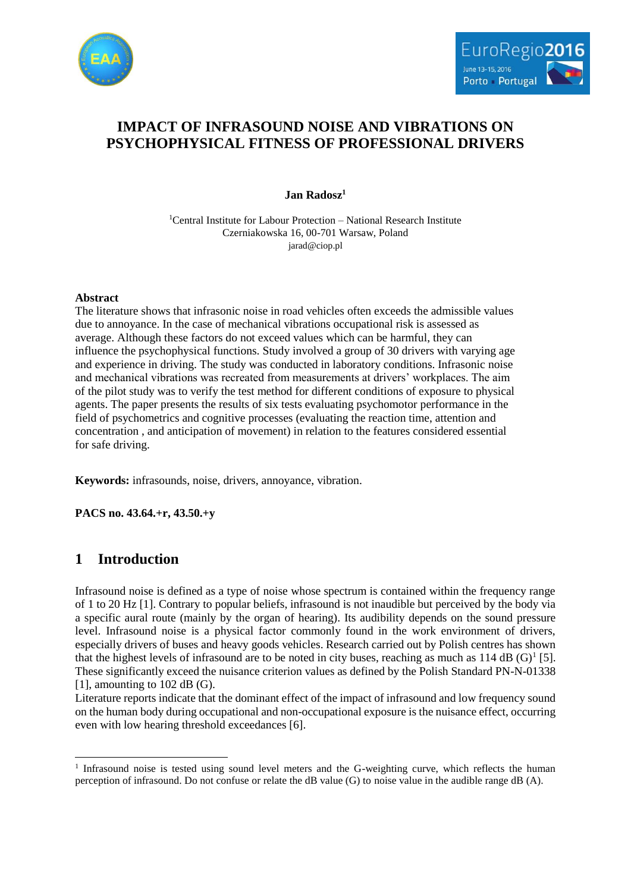



# **IMPACT OF INFRASOUND NOISE AND VIBRATIONS ON PSYCHOPHYSICAL FITNESS OF PROFESSIONAL DRIVERS**

**Jan Radosz<sup>1</sup>**

<sup>1</sup>Central Institute for Labour Protection – National Research Institute Czerniakowska 16, 00-701 Warsaw, Poland jarad@ciop.pl

### **Abstract**

The literature shows that infrasonic noise in road vehicles often exceeds the admissible values due to annoyance. In the case of mechanical vibrations occupational risk is assessed as average. Although these factors do not exceed values which can be harmful, they can influence the psychophysical functions. Study involved a group of 30 drivers with varying age and experience in driving. The study was conducted in laboratory conditions. Infrasonic noise and mechanical vibrations was recreated from measurements at drivers' workplaces. The aim of the pilot study was to verify the test method for different conditions of exposure to physical agents. The paper presents the results of six tests evaluating psychomotor performance in the field of psychometrics and cognitive processes (evaluating the reaction time, attention and concentration , and anticipation of movement) in relation to the features considered essential for safe driving.

**Keywords:** infrasounds, noise, drivers, annoyance, vibration.

**PACS no. 43.64.+r, 43.50.+y**

## **1 Introduction**

l

Infrasound noise is defined as a type of noise whose spectrum is contained within the frequency range of 1 to 20 Hz [1]. Contrary to popular beliefs, infrasound is not inaudible but perceived by the body via a specific aural route (mainly by the organ of hearing). Its audibility depends on the sound pressure level. Infrasound noise is a physical factor commonly found in the work environment of drivers, especially drivers of buses and heavy goods vehicles. Research carried out by Polish centres has shown that the highest levels of infrasound are to be noted in city buses, reaching as much as  $114 \text{ dB } (G)^1$  [5]. These significantly exceed the nuisance criterion values as defined by the Polish Standard PN-N-01338 [1], amounting to 102 dB (G).

Literature reports indicate that the dominant effect of the impact of infrasound and low frequency sound on the human body during occupational and non-occupational exposure is the nuisance effect, occurring even with low hearing threshold exceedances [6].

<sup>&</sup>lt;sup>1</sup> Infrasound noise is tested using sound level meters and the G-weighting curve, which reflects the human perception of infrasound. Do not confuse or relate the dB value (G) to noise value in the audible range dB (A).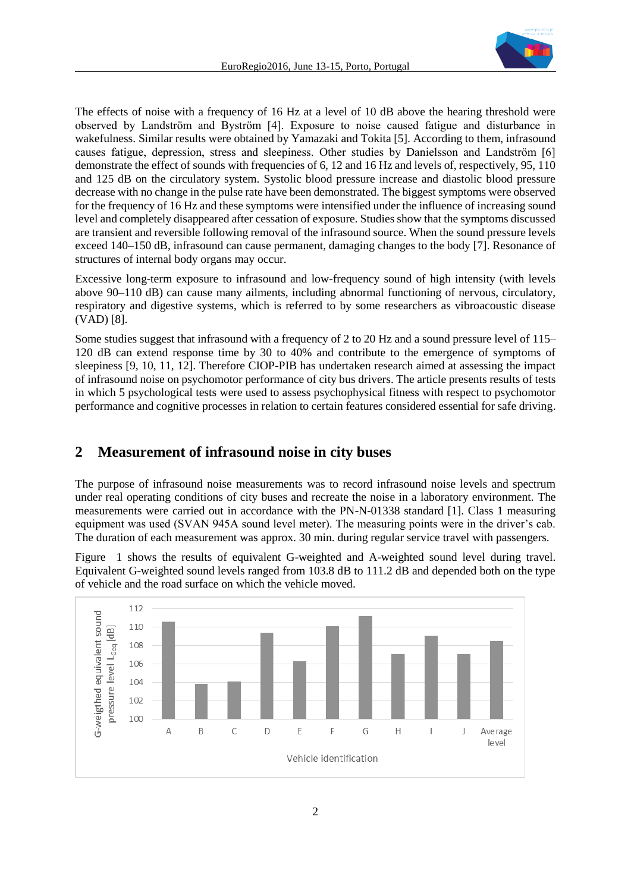

The effects of noise with a frequency of 16 Hz at a level of 10 dB above the hearing threshold were observed by Landström and Byström [4]. Exposure to noise caused fatigue and disturbance in wakefulness. Similar results were obtained by Yamazaki and Tokita [5]. According to them, infrasound causes fatigue, depression, stress and sleepiness. Other studies by Danielsson and Landström [6] demonstrate the effect of sounds with frequencies of 6, 12 and 16 Hz and levels of, respectively, 95, 110 and 125 dB on the circulatory system. Systolic blood pressure increase and diastolic blood pressure decrease with no change in the pulse rate have been demonstrated. The biggest symptoms were observed for the frequency of 16 Hz and these symptoms were intensified under the influence of increasing sound level and completely disappeared after cessation of exposure. Studies show that the symptoms discussed are transient and reversible following removal of the infrasound source. When the sound pressure levels exceed 140–150 dB, infrasound can cause permanent, damaging changes to the body [7]. Resonance of structures of internal body organs may occur.

Excessive long-term exposure to infrasound and low-frequency sound of high intensity (with levels above 90–110 dB) can cause many ailments, including abnormal functioning of nervous, circulatory, respiratory and digestive systems, which is referred to by some researchers as vibroacoustic disease (VAD) [8].

Some studies suggest that infrasound with a frequency of 2 to 20 Hz and a sound pressure level of 115– 120 dB can extend response time by 30 to 40% and contribute to the emergence of symptoms of sleepiness [9, 10, 11, 12]. Therefore CIOP-PIB has undertaken research aimed at assessing the impact of infrasound noise on psychomotor performance of city bus drivers. The article presents results of tests in which 5 psychological tests were used to assess psychophysical fitness with respect to psychomotor performance and cognitive processes in relation to certain features considered essential for safe driving.

## **2 Measurement of infrasound noise in city buses**

The purpose of infrasound noise measurements was to record infrasound noise levels and spectrum under real operating conditions of city buses and recreate the noise in a laboratory environment. The measurements were carried out in accordance with the PN-N-01338 standard [1]. Class 1 measuring equipment was used (SVAN 945A sound level meter). The measuring points were in the driver's cab. The duration of each measurement was approx. 30 min. during regular service travel with passengers.

Figure 1 shows the results of equivalent G-weighted and A-weighted sound level during travel. Equivalent G-weighted sound levels ranged from 103.8 dB to 111.2 dB and depended both on the type of vehicle and the road surface on which the vehicle moved.

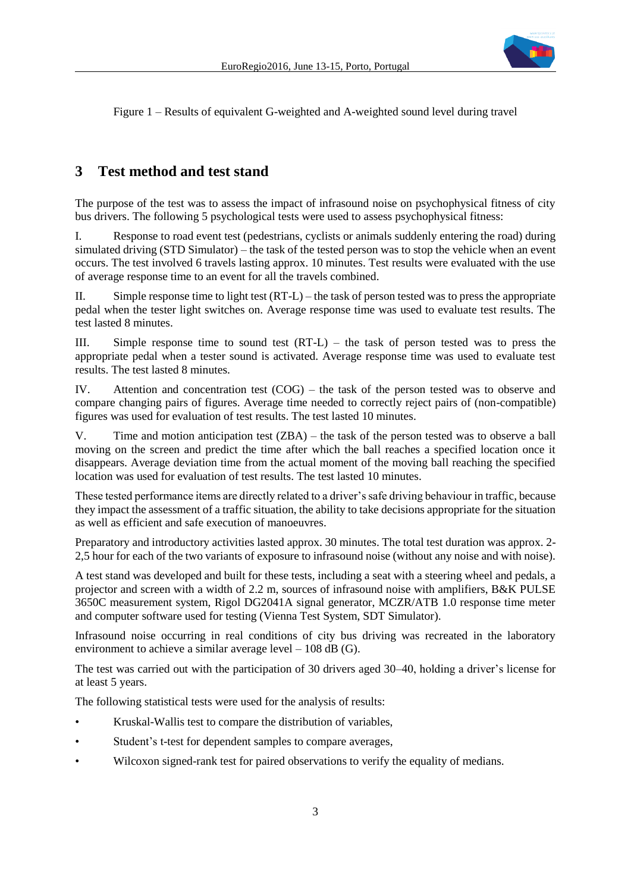

Figure 1 – Results of equivalent G-weighted and A-weighted sound level during travel

### **3 Test method and test stand**

The purpose of the test was to assess the impact of infrasound noise on psychophysical fitness of city bus drivers. The following 5 psychological tests were used to assess psychophysical fitness:

I. Response to road event test (pedestrians, cyclists or animals suddenly entering the road) during simulated driving (STD Simulator) – the task of the tested person was to stop the vehicle when an event occurs. The test involved 6 travels lasting approx. 10 minutes. Test results were evaluated with the use of average response time to an event for all the travels combined.

II. Simple response time to light test  $(RT-L)$  – the task of person tested was to press the appropriate pedal when the tester light switches on. Average response time was used to evaluate test results. The test lasted 8 minutes.

III. Simple response time to sound test (RT-L) – the task of person tested was to press the appropriate pedal when a tester sound is activated. Average response time was used to evaluate test results. The test lasted 8 minutes.

IV. Attention and concentration test (COG) – the task of the person tested was to observe and compare changing pairs of figures. Average time needed to correctly reject pairs of (non-compatible) figures was used for evaluation of test results. The test lasted 10 minutes.

V. Time and motion anticipation test (ZBA) – the task of the person tested was to observe a ball moving on the screen and predict the time after which the ball reaches a specified location once it disappears. Average deviation time from the actual moment of the moving ball reaching the specified location was used for evaluation of test results. The test lasted 10 minutes.

These tested performance items are directly related to a driver's safe driving behaviour in traffic, because they impact the assessment of a traffic situation, the ability to take decisions appropriate for the situation as well as efficient and safe execution of manoeuvres.

Preparatory and introductory activities lasted approx. 30 minutes. The total test duration was approx. 2- 2,5 hour for each of the two variants of exposure to infrasound noise (without any noise and with noise).

A test stand was developed and built for these tests, including a seat with a steering wheel and pedals, a projector and screen with a width of 2.2 m, sources of infrasound noise with amplifiers, B&K PULSE 3650C measurement system, Rigol DG2041A signal generator, MCZR/ATB 1.0 response time meter and computer software used for testing (Vienna Test System, SDT Simulator).

Infrasound noise occurring in real conditions of city bus driving was recreated in the laboratory environment to achieve a similar average level – 108 dB (G).

The test was carried out with the participation of 30 drivers aged 30–40, holding a driver's license for at least 5 years.

The following statistical tests were used for the analysis of results:

- Kruskal-Wallis test to compare the distribution of variables,
- Student's t-test for dependent samples to compare averages,
- Wilcoxon signed-rank test for paired observations to verify the equality of medians.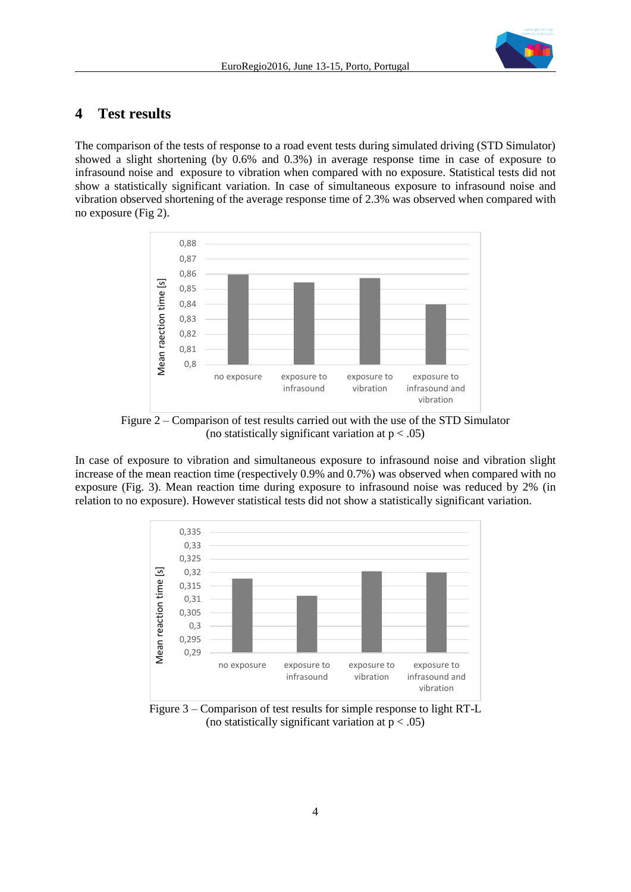

# **4 Test results**

The comparison of the tests of response to a road event tests during simulated driving (STD Simulator) showed a slight shortening (by 0.6% and 0.3%) in average response time in case of exposure to infrasound noise and exposure to vibration when compared with no exposure. Statistical tests did not show a statistically significant variation. In case of simultaneous exposure to infrasound noise and vibration observed shortening of the average response time of 2.3% was observed when compared with no exposure (Fig 2).



Figure 2 – Comparison of test results carried out with the use of the STD Simulator (no statistically significant variation at  $p < .05$ )

In case of exposure to vibration and simultaneous exposure to infrasound noise and vibration slight increase of the mean reaction time (respectively 0.9% and 0.7%) was observed when compared with no exposure (Fig. 3). Mean reaction time during exposure to infrasound noise was reduced by 2% (in relation to no exposure). However statistical tests did not show a statistically significant variation.



Figure 3 – Comparison of test results for simple response to light RT-L (no statistically significant variation at  $p < .05$ )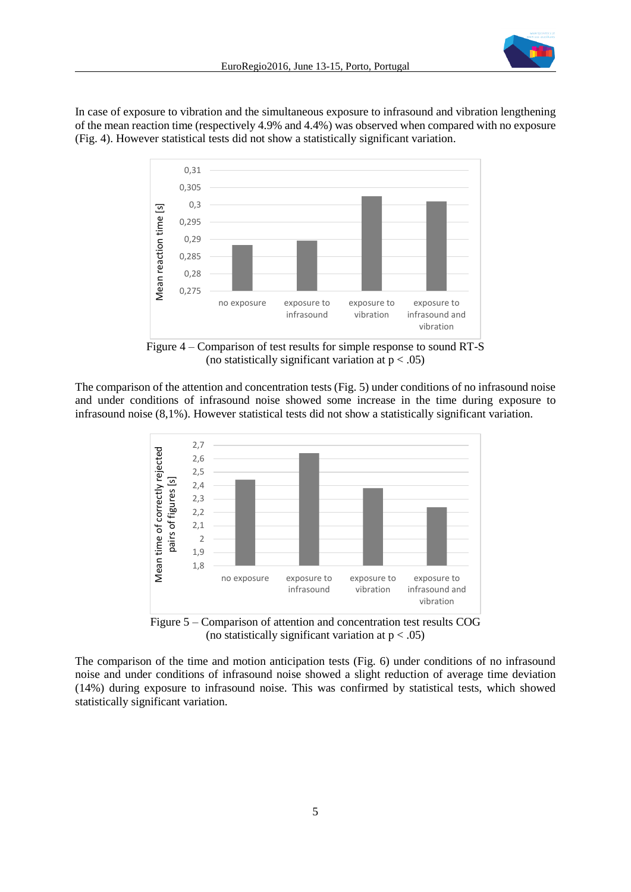

In case of exposure to vibration and the simultaneous exposure to infrasound and vibration lengthening of the mean reaction time (respectively 4.9% and 4.4%) was observed when compared with no exposure (Fig. 4). However statistical tests did not show a statistically significant variation.



Figure 4 – Comparison of test results for simple response to sound RT-S (no statistically significant variation at  $p < .05$ )

The comparison of the attention and concentration tests (Fig. 5) under conditions of no infrasound noise and under conditions of infrasound noise showed some increase in the time during exposure to infrasound noise (8,1%). However statistical tests did not show a statistically significant variation.



Figure 5 – Comparison of attention and concentration test results COG (no statistically significant variation at  $p < .05$ )

The comparison of the time and motion anticipation tests (Fig. 6) under conditions of no infrasound noise and under conditions of infrasound noise showed a slight reduction of average time deviation (14%) during exposure to infrasound noise. This was confirmed by statistical tests, which showed statistically significant variation.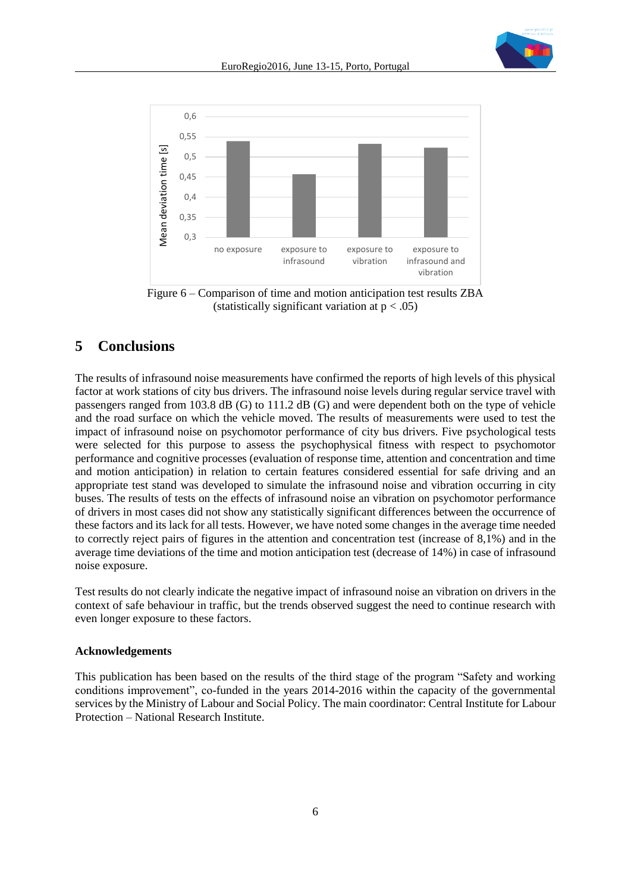



Figure 6 – Comparison of time and motion anticipation test results ZBA (statistically significant variation at  $p < .05$ )

## **5 Conclusions**

The results of infrasound noise measurements have confirmed the reports of high levels of this physical factor at work stations of city bus drivers. The infrasound noise levels during regular service travel with passengers ranged from 103.8 dB (G) to 111.2 dB (G) and were dependent both on the type of vehicle and the road surface on which the vehicle moved. The results of measurements were used to test the impact of infrasound noise on psychomotor performance of city bus drivers. Five psychological tests were selected for this purpose to assess the psychophysical fitness with respect to psychomotor performance and cognitive processes (evaluation of response time, attention and concentration and time and motion anticipation) in relation to certain features considered essential for safe driving and an appropriate test stand was developed to simulate the infrasound noise and vibration occurring in city buses. The results of tests on the effects of infrasound noise an vibration on psychomotor performance of drivers in most cases did not show any statistically significant differences between the occurrence of these factors and its lack for all tests. However, we have noted some changes in the average time needed to correctly reject pairs of figures in the attention and concentration test (increase of 8,1%) and in the average time deviations of the time and motion anticipation test (decrease of 14%) in case of infrasound noise exposure.

Test results do not clearly indicate the negative impact of infrasound noise an vibration on drivers in the context of safe behaviour in traffic, but the trends observed suggest the need to continue research with even longer exposure to these factors.

### **Acknowledgements**

This publication has been based on the results of the third stage of the program "Safety and working conditions improvement", co-funded in the years 2014-2016 within the capacity of the governmental services by the Ministry of Labour and Social Policy. The main coordinator: Central Institute for Labour Protection – National Research Institute.